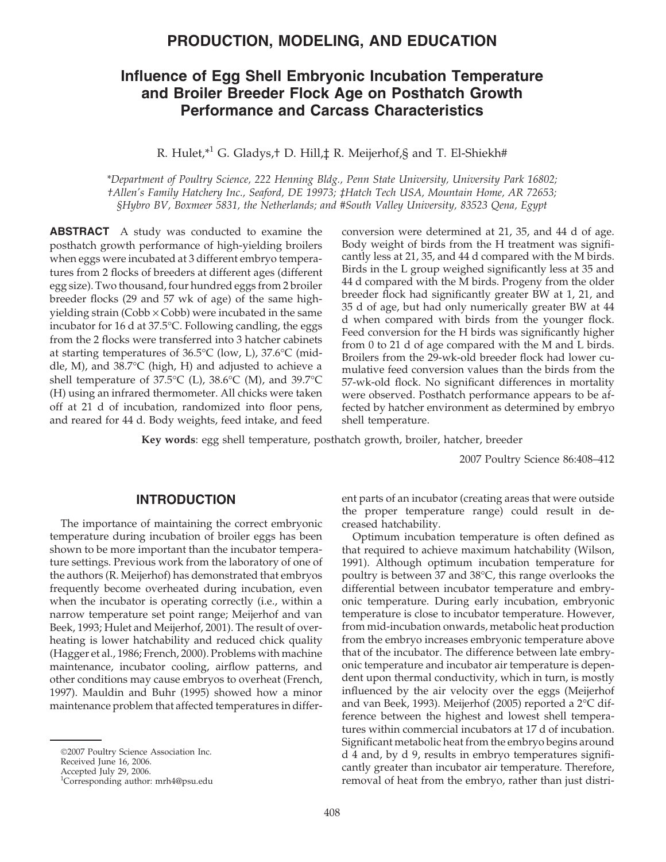# **Influence of Egg Shell Embryonic Incubation Temperature and Broiler Breeder Flock Age on Posthatch Growth Performance and Carcass Characteristics**

R. Hulet,<sup>\*1</sup> G. Gladys,<sup>†</sup> D. Hill, $\ddagger$  R. Meijerhof,§ and T. El-Shiekh#

*\*Department of Poultry Science, 222 Henning Bldg., Penn State University, University Park 16802; †Allen's Family Hatchery Inc., Seaford, DE 19973; ‡Hatch Tech USA, Mountain Home, AR 72653; §Hybro BV, Boxmeer 5831, the Netherlands; and #South Valley University, 83523 Qena, Egypt*

**ABSTRACT** A study was conducted to examine the posthatch growth performance of high-yielding broilers when eggs were incubated at 3 different embryo temperatures from 2 flocks of breeders at different ages (different egg size). Two thousand, four hundred eggs from 2 broiler breeder flocks (29 and 57 wk of age) of the same highyielding strain (Cobb  $\times$  Cobb) were incubated in the same incubator for 16 d at 37.5°C. Following candling, the eggs from the 2 flocks were transferred into 3 hatcher cabinets at starting temperatures of 36.5°C (low, L), 37.6°C (middle, M), and 38.7°C (high, H) and adjusted to achieve a shell temperature of 37.5°C (L), 38.6°C (M), and 39.7°C (H) using an infrared thermometer. All chicks were taken off at 21 d of incubation, randomized into floor pens, and reared for 44 d. Body weights, feed intake, and feed conversion were determined at 21, 35, and 44 d of age. Body weight of birds from the H treatment was significantly less at 21, 35, and 44 d compared with the M birds. Birds in the L group weighed significantly less at 35 and 44 d compared with the M birds. Progeny from the older breeder flock had significantly greater BW at 1, 21, and 35 d of age, but had only numerically greater BW at 44 d when compared with birds from the younger flock. Feed conversion for the H birds was significantly higher from 0 to 21 d of age compared with the M and L birds. Broilers from the 29-wk-old breeder flock had lower cumulative feed conversion values than the birds from the 57-wk-old flock. No significant differences in mortality were observed. Posthatch performance appears to be affected by hatcher environment as determined by embryo shell temperature.

**Key words**: egg shell temperature, posthatch growth, broiler, hatcher, breeder

2007 Poultry Science 86:408–412

### **INTRODUCTION**

The importance of maintaining the correct embryonic temperature during incubation of broiler eggs has been shown to be more important than the incubator temperature settings. Previous work from the laboratory of one of the authors (R. Meijerhof) has demonstrated that embryos frequently become overheated during incubation, even when the incubator is operating correctly (i.e., within a narrow temperature set point range; Meijerhof and van Beek, 1993; Hulet and Meijerhof, 2001). The result of overheating is lower hatchability and reduced chick quality (Hagger et al., 1986; French, 2000). Problems with machine maintenance, incubator cooling, airflow patterns, and other conditions may cause embryos to overheat (French, 1997). Mauldin and Buhr (1995) showed how a minor maintenance problem that affected temperatures in different parts of an incubator (creating areas that were outside the proper temperature range) could result in decreased hatchability.

Optimum incubation temperature is often defined as that required to achieve maximum hatchability (Wilson, 1991). Although optimum incubation temperature for poultry is between 37 and 38°C, this range overlooks the differential between incubator temperature and embryonic temperature. During early incubation, embryonic temperature is close to incubator temperature. However, from mid-incubation onwards, metabolic heat production from the embryo increases embryonic temperature above that of the incubator. The difference between late embryonic temperature and incubator air temperature is dependent upon thermal conductivity, which in turn, is mostly influenced by the air velocity over the eggs (Meijerhof and van Beek, 1993). Meijerhof (2005) reported a 2°C difference between the highest and lowest shell temperatures within commercial incubators at 17 d of incubation. Significant metabolic heat from the embryo begins around d 4 and, by d 9, results in embryo temperatures significantly greater than incubator air temperature. Therefore, removal of heat from the embryo, rather than just distri-

<sup>2007</sup> Poultry Science Association Inc.

Received June 16, 2006.

Accepted July 29, 2006.

<sup>1</sup> Corresponding author: mrh4@psu.edu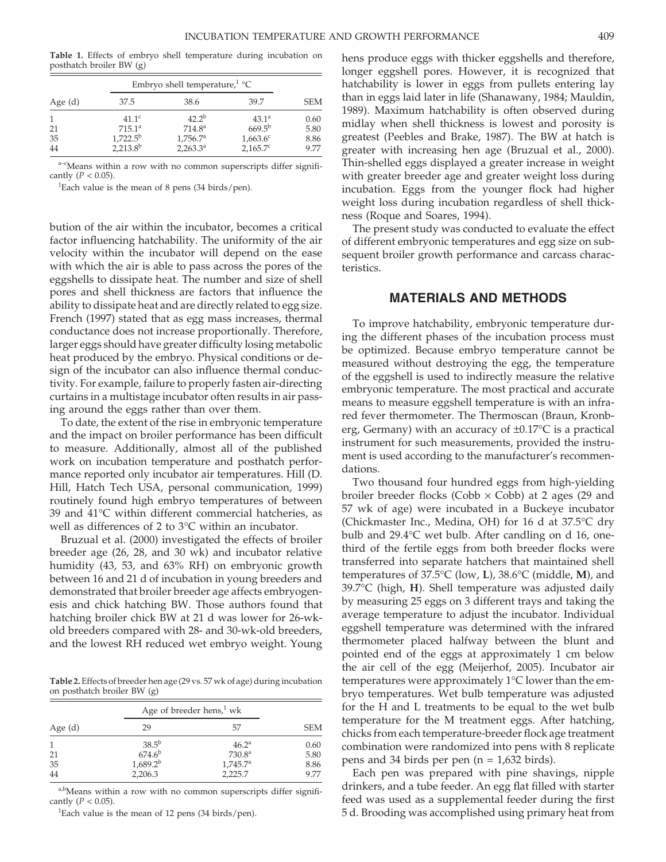**Table 1.** Effects of embryo shell temperature during incubation on posthatch broiler BW (g)

|           |                   | Embryo shell temperature, <sup>1</sup> $°C$ |                   |            |
|-----------|-------------------|---------------------------------------------|-------------------|------------|
| Age $(d)$ | 37.5              | 38.6                                        | 39.7              | <b>SEM</b> |
|           | $41.1^{\circ}$    | $42.2^{b}$                                  | $43.1^a$          | 0.60       |
| 21        | $715.1^a$         | 714.8 <sup>a</sup>                          | $669.5^{b}$       | 5.80       |
| 35        | $1,722.5^{\rm b}$ | $1,756.7^{\rm a}$                           | $1,663.6^c$       | 8.86       |
| 44        | $2,213.8^{b}$     | $2,263.3^{\rm a}$                           | $2,165.7^{\circ}$ | 9.77       |

a-cMeans within a row with no common superscripts differ significantly (*P* < 0.05).

<sup>1</sup>Each value is the mean of 8 pens (34 birds/pen).

bution of the air within the incubator, becomes a critical factor influencing hatchability. The uniformity of the air velocity within the incubator will depend on the ease with which the air is able to pass across the pores of the eggshells to dissipate heat. The number and size of shell pores and shell thickness are factors that influence the ability to dissipate heat and are directly related to egg size. French (1997) stated that as egg mass increases, thermal conductance does not increase proportionally. Therefore, larger eggs should have greater difficulty losing metabolic heat produced by the embryo. Physical conditions or design of the incubator can also influence thermal conductivity. For example, failure to properly fasten air-directing curtains in a multistage incubator often results in air passing around the eggs rather than over them.

To date, the extent of the rise in embryonic temperature and the impact on broiler performance has been difficult to measure. Additionally, almost all of the published work on incubation temperature and posthatch performance reported only incubator air temperatures. Hill (D. Hill, Hatch Tech USA, personal communication, 1999) routinely found high embryo temperatures of between 39 and 41°C within different commercial hatcheries, as well as differences of 2 to 3°C within an incubator.

Bruzual et al. (2000) investigated the effects of broiler breeder age (26, 28, and 30 wk) and incubator relative humidity (43, 53, and 63% RH) on embryonic growth between 16 and 21 d of incubation in young breeders and demonstrated that broiler breeder age affects embryogenesis and chick hatching BW. Those authors found that hatching broiler chick BW at 21 d was lower for 26-wkold breeders compared with 28- and 30-wk-old breeders, and the lowest RH reduced wet embryo weight. Young

**Table 2.** Effects of breeder hen age (29 vs. 57 wk of age) during incubation on posthatch broiler BW (g)

|              |               | Age of breeder hens, $\frac{1}{1}$ wk |            |
|--------------|---------------|---------------------------------------|------------|
| Age $(d)$    | 29            | 57                                    | <b>SEM</b> |
| $\mathbf{1}$ | $38.5^{b}$    | $46.2^{\rm a}$                        | 0.60       |
| 21           | $674.6^{b}$   | 730.8 <sup>a</sup>                    | 5.80       |
| 35           | $1,689.2^{b}$ | $1,745.7^{\rm a}$                     | 8.86       |
| 44           | 2,206.3       | 2,225.7                               | 9.77       |

a,b<sub>Means</sub> within a row with no common superscripts differ significantly (*P* < 0.05).

<sup>1</sup>Each value is the mean of 12 pens (34 birds/pen).

hens produce eggs with thicker eggshells and therefore, longer eggshell pores. However, it is recognized that hatchability is lower in eggs from pullets entering lay than in eggs laid later in life (Shanawany, 1984; Mauldin, 1989). Maximum hatchability is often observed during midlay when shell thickness is lowest and porosity is greatest (Peebles and Brake, 1987). The BW at hatch is greater with increasing hen age (Bruzual et al., 2000). Thin-shelled eggs displayed a greater increase in weight with greater breeder age and greater weight loss during incubation. Eggs from the younger flock had higher weight loss during incubation regardless of shell thickness (Roque and Soares, 1994).

The present study was conducted to evaluate the effect of different embryonic temperatures and egg size on subsequent broiler growth performance and carcass characteristics.

### **MATERIALS AND METHODS**

To improve hatchability, embryonic temperature during the different phases of the incubation process must be optimized. Because embryo temperature cannot be measured without destroying the egg, the temperature of the eggshell is used to indirectly measure the relative embryonic temperature. The most practical and accurate means to measure eggshell temperature is with an infrared fever thermometer. The Thermoscan (Braun, Kronberg, Germany) with an accuracy of ±0.17°C is a practical instrument for such measurements, provided the instrument is used according to the manufacturer's recommendations.

Two thousand four hundred eggs from high-yielding broiler breeder flocks (Cobb  $\times$  Cobb) at 2 ages (29 and 57 wk of age) were incubated in a Buckeye incubator (Chickmaster Inc., Medina, OH) for 16 d at 37.5°C dry bulb and 29.4°C wet bulb. After candling on d 16, onethird of the fertile eggs from both breeder flocks were transferred into separate hatchers that maintained shell temperatures of 37.5°C (low, **L**), 38.6°C (middle, **M**), and 39.7°C (high, **H**). Shell temperature was adjusted daily by measuring 25 eggs on 3 different trays and taking the average temperature to adjust the incubator. Individual eggshell temperature was determined with the infrared thermometer placed halfway between the blunt and pointed end of the eggs at approximately 1 cm below the air cell of the egg (Meijerhof, 2005). Incubator air temperatures were approximately 1°C lower than the embryo temperatures. Wet bulb temperature was adjusted for the H and L treatments to be equal to the wet bulb temperature for the M treatment eggs. After hatching, chicks from each temperature-breeder flock age treatment combination were randomized into pens with 8 replicate pens and 34 birds per pen  $(n = 1,632 \text{ birds}).$ 

Each pen was prepared with pine shavings, nipple drinkers, and a tube feeder. An egg flat filled with starter feed was used as a supplemental feeder during the first 5 d. Brooding was accomplished using primary heat from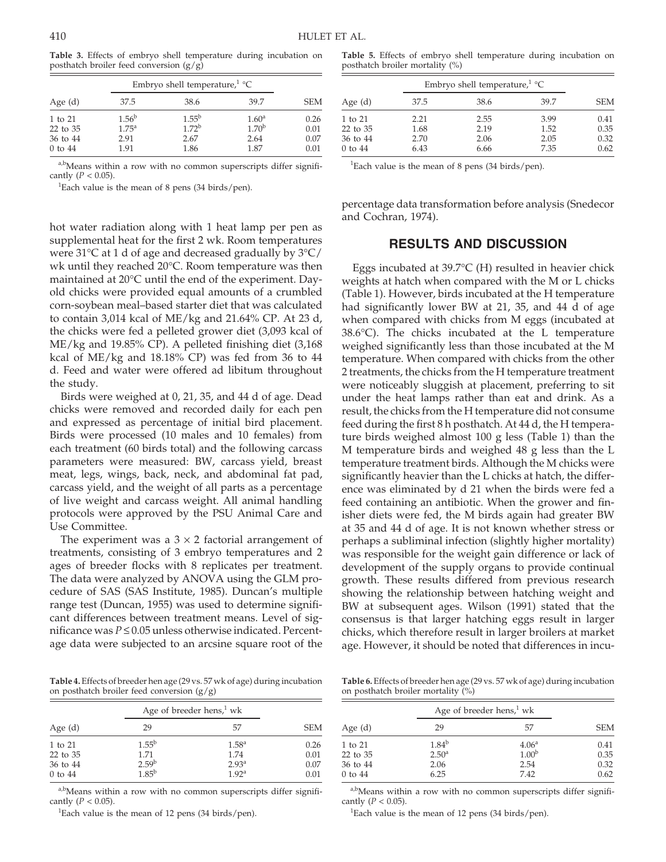**Table 3.** Effects of embryo shell temperature during incubation on posthatch broiler feed conversion  $(g/g)$ 

|                                                |                                                  | Embryo shell temperature, <sup>1</sup> $°C$         |                                              |                              |
|------------------------------------------------|--------------------------------------------------|-----------------------------------------------------|----------------------------------------------|------------------------------|
| Age (d)                                        | 37.5                                             | 38.6                                                | 39.7                                         | <b>SEM</b>                   |
| 1 to 21<br>22 to 35<br>36 to 44<br>$0$ to $44$ | $1.56^{\rm b}$<br>$1.75^{\rm a}$<br>2.91<br>1.91 | $1.55^{\rm b}$<br>1.72 <sup>b</sup><br>2.67<br>1.86 | $1.60^{\rm a}$<br>$1.70^{b}$<br>2.64<br>1.87 | 0.26<br>0.01<br>0.07<br>0.01 |

a,bMeans within a row with no common superscripts differ significantly (*P* < 0.05).

hot water radiation along with 1 heat lamp per pen as

<sup>1</sup>Each value is the mean of 8 pens (34 birds/pen).

**Table 5.** Effects of embryo shell temperature during incubation on posthatch broiler mortality (%)

|                                                |                              | Embryo shell temperature, <sup>1</sup> °C |                              |                              |
|------------------------------------------------|------------------------------|-------------------------------------------|------------------------------|------------------------------|
| Age $(d)$                                      | 37.5                         | 38.6                                      | 39.7                         | <b>SEM</b>                   |
| 1 to 21<br>22 to 35<br>36 to 44<br>$0$ to $44$ | 2.21<br>1.68<br>2.70<br>6.43 | 2.55<br>2.19<br>2.06<br>6.66              | 3.99<br>1.52<br>2.05<br>7.35 | 0.41<br>0.35<br>0.32<br>0.62 |

<sup>1</sup>Each value is the mean of 8 pens (34 birds/pen).

percentage data transformation before analysis (Snedecor and Cochran, 1974).

## **RESULTS AND DISCUSSION**

supplemental heat for the first 2 wk. Room temperatures were 31°C at 1 d of age and decreased gradually by 3°C/ wk until they reached 20°C. Room temperature was then maintained at 20°C until the end of the experiment. Dayold chicks were provided equal amounts of a crumbled corn-soybean meal–based starter diet that was calculated to contain 3,014 kcal of ME/kg and 21.64% CP. At 23 d, the chicks were fed a pelleted grower diet (3,093 kcal of ME/kg and 19.85% CP). A pelleted finishing diet (3,168 kcal of ME/kg and 18.18% CP) was fed from 36 to 44 d. Feed and water were offered ad libitum throughout the study.

Birds were weighed at 0, 21, 35, and 44 d of age. Dead chicks were removed and recorded daily for each pen and expressed as percentage of initial bird placement. Birds were processed (10 males and 10 females) from each treatment (60 birds total) and the following carcass parameters were measured: BW, carcass yield, breast meat, legs, wings, back, neck, and abdominal fat pad, carcass yield, and the weight of all parts as a percentage of live weight and carcass weight. All animal handling protocols were approved by the PSU Animal Care and Use Committee.

The experiment was a  $3 \times 2$  factorial arrangement of treatments, consisting of 3 embryo temperatures and 2 ages of breeder flocks with 8 replicates per treatment. The data were analyzed by ANOVA using the GLM procedure of SAS (SAS Institute, 1985). Duncan's multiple range test (Duncan, 1955) was used to determine significant differences between treatment means. Level of significance was *P* ≤ 0.05 unless otherwise indicated. Percentage data were subjected to an arcsine square root of the

**Table 4.** Effects of breeder hen age (29 vs. 57 wk of age) during incubation on posthatch broiler feed conversion  $(g/g)$ 

|                                                |                                                    | Age of breeder hens, $\frac{1}{1}$ wk                               |                              |
|------------------------------------------------|----------------------------------------------------|---------------------------------------------------------------------|------------------------------|
| Age $(d)$                                      | 29                                                 | 57                                                                  | <b>SEM</b>                   |
| 1 to 21<br>22 to 35<br>36 to 44<br>$0$ to $44$ | $1.55^{\rm b}$<br>1.71<br>$2.59^{b}$<br>$1.85^{b}$ | 1.58 <sup>a</sup><br>1.74<br>2.93 <sup>a</sup><br>1.92 <sup>a</sup> | 0.26<br>0.01<br>0.07<br>0.01 |

a,b<sub>Means</sub> within a row with no common superscripts differ significantly (*P* < 0.05).

<sup>1</sup>Each value is the mean of 12 pens (34 birds/pen).

Eggs incubated at 39.7°C (H) resulted in heavier chick weights at hatch when compared with the M or L chicks (Table 1). However, birds incubated at the H temperature had significantly lower BW at 21, 35, and 44 d of age when compared with chicks from M eggs (incubated at 38.6°C). The chicks incubated at the L temperature weighed significantly less than those incubated at the M temperature. When compared with chicks from the other 2 treatments, the chicks from the H temperature treatment were noticeably sluggish at placement, preferring to sit under the heat lamps rather than eat and drink. As a result, the chicks from the H temperature did not consume feed during the first 8 h posthatch. At 44 d, the H temperature birds weighed almost 100 g less (Table 1) than the M temperature birds and weighed 48 g less than the L temperature treatment birds. Although the M chicks were significantly heavier than the L chicks at hatch, the difference was eliminated by d 21 when the birds were fed a feed containing an antibiotic. When the grower and finisher diets were fed, the M birds again had greater BW at 35 and 44 d of age. It is not known whether stress or perhaps a subliminal infection (slightly higher mortality) was responsible for the weight gain difference or lack of development of the supply organs to provide continual growth. These results differed from previous research showing the relationship between hatching weight and BW at subsequent ages. Wilson (1991) stated that the consensus is that larger hatching eggs result in larger chicks, which therefore result in larger broilers at market age. However, it should be noted that differences in incu-

**Table 6.** Effects of breeder hen age (29 vs. 57 wk of age) during incubation on posthatch broiler mortality (%)

|                                                |                                                 | Age of breeder hens, $\frac{1}{1}$ wk                  |                              |
|------------------------------------------------|-------------------------------------------------|--------------------------------------------------------|------------------------------|
| Age (d)                                        | 29                                              | 57                                                     | <b>SEM</b>                   |
| 1 to 21<br>22 to 35<br>36 to 44<br>$0$ to $44$ | $1.84^{b}$<br>2.50 <sup>a</sup><br>2.06<br>6.25 | 4.06 <sup>a</sup><br>1.00 <sup>b</sup><br>2.54<br>7.42 | 0.41<br>0.35<br>0.32<br>0.62 |

a,bMeans within a row with no common superscripts differ significantly (*P* < 0.05).

<sup>1</sup>Each value is the mean of 12 pens (34 birds/pen).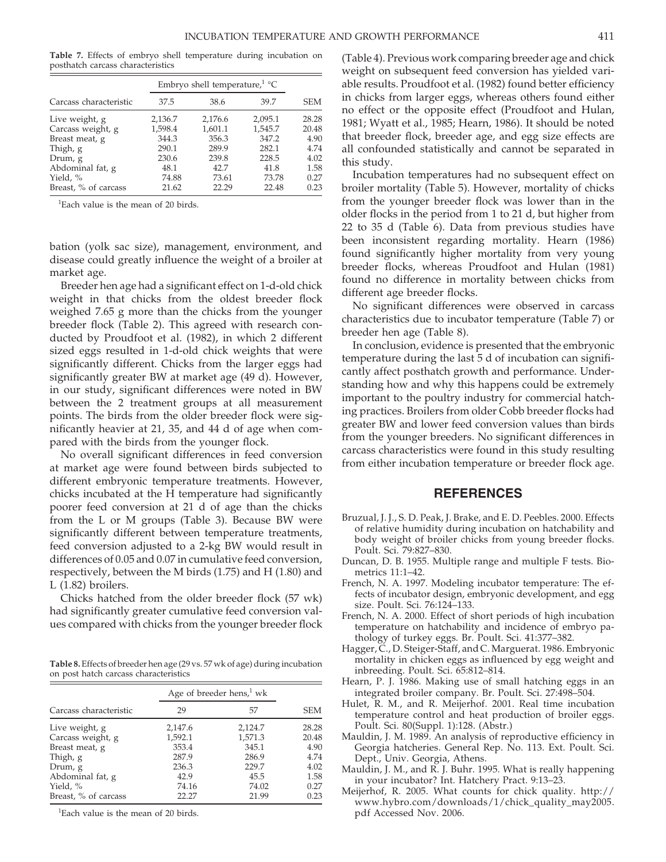**Table 7.** Effects of embryo shell temperature during incubation on posthatch carcass characteristics

|                        |         | Embryo shell temperature, <sup>1</sup> °C |         |            |
|------------------------|---------|-------------------------------------------|---------|------------|
| Carcass characteristic | 37.5    | 38.6                                      | 39.7    | <b>SEM</b> |
| Live weight, g         | 2,136.7 | 2,176.6                                   | 2,095.1 | 28.28      |
| Carcass weight, g      | 1,598.4 | 1,601.1                                   | 1,545.7 | 20.48      |
| Breast meat, g         | 344.3   | 356.3                                     | 347.2   | 4.90       |
| Thigh, g               | 290.1   | 289.9                                     | 282.1   | 4.74       |
| Drum, g                | 230.6   | 239.8                                     | 228.5   | 4.02       |
| Abdominal fat, g       | 48.1    | 42.7                                      | 41.8    | 1.58       |
| Yield, %               | 74.88   | 73.61                                     | 73.78   | 0.27       |
| Breast, % of carcass   | 21.62   | 22.29                                     | 22.48   | 0.23       |

<sup>1</sup>Each value is the mean of 20 birds.

bation (yolk sac size), management, environment, and disease could greatly influence the weight of a broiler at market age.

Breeder hen age had a significant effect on 1-d-old chick weight in that chicks from the oldest breeder flock weighed 7.65 g more than the chicks from the younger breeder flock (Table 2). This agreed with research conducted by Proudfoot et al. (1982), in which 2 different sized eggs resulted in 1-d-old chick weights that were significantly different. Chicks from the larger eggs had significantly greater BW at market age (49 d). However, in our study, significant differences were noted in BW between the 2 treatment groups at all measurement points. The birds from the older breeder flock were significantly heavier at 21, 35, and 44 d of age when compared with the birds from the younger flock.

No overall significant differences in feed conversion at market age were found between birds subjected to different embryonic temperature treatments. However, chicks incubated at the H temperature had significantly poorer feed conversion at 21 d of age than the chicks from the L or M groups (Table 3). Because BW were significantly different between temperature treatments, feed conversion adjusted to a 2-kg BW would result in differences of 0.05 and 0.07 in cumulative feed conversion, respectively, between the M birds (1.75) and H (1.80) and L (1.82) broilers.

Chicks hatched from the older breeder flock (57 wk) had significantly greater cumulative feed conversion values compared with chicks from the younger breeder flock

**Table 8.** Effects of breeder hen age (29 vs. 57 wk of age) during incubation on post hatch carcass characteristics

|                        | Age of breeder hens, $\frac{1}{1}$ wk |         |            |
|------------------------|---------------------------------------|---------|------------|
| Carcass characteristic | 29                                    | 57      | <b>SEM</b> |
| Live weight, g         | 2,147.6                               | 2,124.7 | 28.28      |
| Carcass weight, g      | 1,592.1                               | 1,571.3 | 20.48      |
| Breast meat, g         | 353.4                                 | 345.1   | 4.90       |
| Thigh, g               | 287.9                                 | 286.9   | 4.74       |
| Drum, g                | 236.3                                 | 229.7   | 4.02       |
| Abdominal fat, g       | 42.9                                  | 45.5    | 1.58       |
| Yield, %               | 74.16                                 | 74.02   | 0.27       |
| Breast, % of carcass   | 22.27                                 | 21.99   | 0.23       |

1 Each value is the mean of 20 birds.

(Table 4). Previous work comparing breeder age and chick weight on subsequent feed conversion has yielded variable results. Proudfoot et al. (1982) found better efficiency in chicks from larger eggs, whereas others found either no effect or the opposite effect (Proudfoot and Hulan, 1981; Wyatt et al., 1985; Hearn, 1986). It should be noted that breeder flock, breeder age, and egg size effects are all confounded statistically and cannot be separated in this study.

Incubation temperatures had no subsequent effect on broiler mortality (Table 5). However, mortality of chicks from the younger breeder flock was lower than in the older flocks in the period from 1 to 21 d, but higher from 22 to 35 d (Table 6). Data from previous studies have been inconsistent regarding mortality. Hearn (1986) found significantly higher mortality from very young breeder flocks, whereas Proudfoot and Hulan (1981) found no difference in mortality between chicks from different age breeder flocks.

No significant differences were observed in carcass characteristics due to incubator temperature (Table 7) or breeder hen age (Table 8).

In conclusion, evidence is presented that the embryonic temperature during the last 5 d of incubation can significantly affect posthatch growth and performance. Understanding how and why this happens could be extremely important to the poultry industry for commercial hatching practices. Broilers from older Cobb breeder flocks had greater BW and lower feed conversion values than birds from the younger breeders. No significant differences in carcass characteristics were found in this study resulting from either incubation temperature or breeder flock age.

#### **REFERENCES**

- Bruzual, J. J., S. D. Peak, J. Brake, and E. D. Peebles. 2000. Effects of relative humidity during incubation on hatchability and body weight of broiler chicks from young breeder flocks. Poult. Sci. 79:827–830.
- Duncan, D. B. 1955. Multiple range and multiple F tests. Biometrics 11:1–42.
- French, N. A. 1997. Modeling incubator temperature: The effects of incubator design, embryonic development, and egg size. Poult. Sci. 76:124–133.
- French, N. A. 2000. Effect of short periods of high incubation temperature on hatchability and incidence of embryo pathology of turkey eggs. Br. Poult. Sci. 41:377–382.
- Hagger, C., D. Steiger-Staff, and C. Marguerat. 1986. Embryonic mortality in chicken eggs as influenced by egg weight and inbreeding. Poult. Sci. 65:812–814.
- Hearn, P. J. 1986. Making use of small hatching eggs in an integrated broiler company. Br. Poult. Sci. 27:498–504.
- Hulet, R. M., and R. Meijerhof. 2001. Real time incubation temperature control and heat production of broiler eggs. Poult. Sci. 80(Suppl. 1):128. (Abstr.)
- Mauldin, J. M. 1989. An analysis of reproductive efficiency in Georgia hatcheries. General Rep. No. 113. Ext. Poult. Sci. Dept., Univ. Georgia, Athens.
- Mauldin, J. M., and R. J. Buhr. 1995. What is really happening in your incubator? Int. Hatchery Pract. 9:13–23.
- Meijerhof, R. 2005. What counts for chick quality. http:// www.hybro.com/downloads/1/chick\_quality\_may2005. pdf Accessed Nov. 2006.